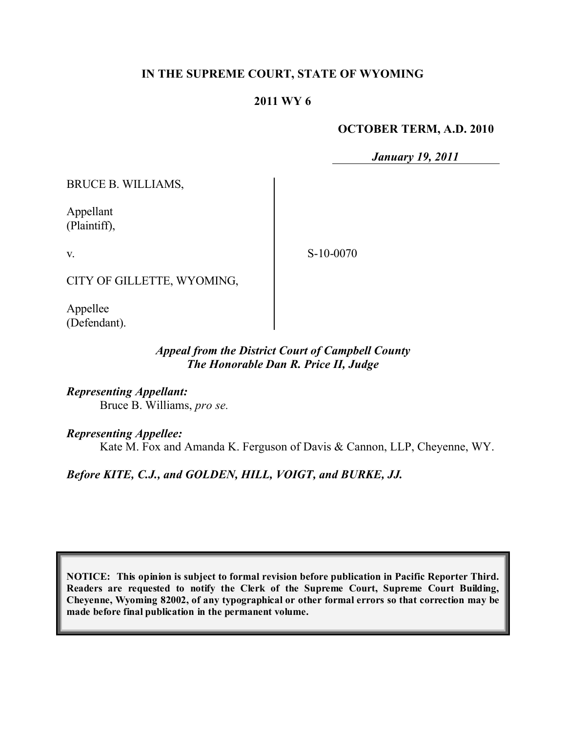### **IN THE SUPREME COURT, STATE OF WYOMING**

### **2011 WY 6**

#### **OCTOBER TERM, A.D. 2010**

*January 19, 2011*

BRUCE B. WILLIAMS,

Appellant (Plaintiff),

v.

S-10-0070

CITY OF GILLETTE, WYOMING,

Appellee (Defendant).

### *Appeal from the District Court of Campbell County The Honorable Dan R. Price II, Judge*

*Representing Appellant:* Bruce B. Williams, *pro se.*

*Representing Appellee:*

Kate M. Fox and Amanda K. Ferguson of Davis & Cannon, LLP, Cheyenne, WY.

### *Before KITE, C.J., and GOLDEN, HILL, VOIGT, and BURKE, JJ.*

**NOTICE: This opinion is subject to formal revision before publication in Pacific Reporter Third. Readers are requested to notify the Clerk of the Supreme Court, Supreme Court Building, Cheyenne, Wyoming 82002, of any typographical or other formal errors so that correction may be made before final publication in the permanent volume.**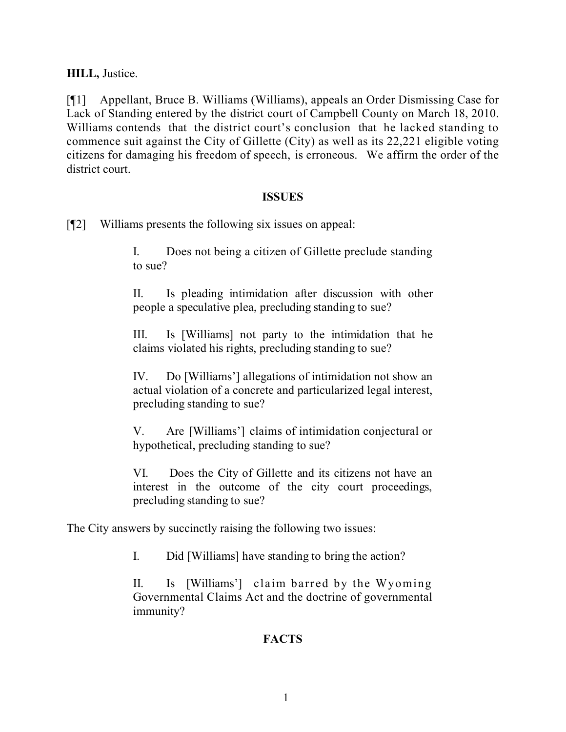**HILL,** Justice.

[¶1] Appellant, Bruce B. Williams (Williams), appeals an Order Dismissing Case for Lack of Standing entered by the district court of Campbell County on March 18, 2010. Williams contends that the district court's conclusion that he lacked standing to commence suit against the City of Gillette (City) as well as its 22,221 eligible voting citizens for damaging his freedom of speech, is erroneous. We affirm the order of the district court.

### **ISSUES**

[¶2] Williams presents the following six issues on appeal:

I. Does not being a citizen of Gillette preclude standing to sue?

II. Is pleading intimidation after discussion with other people a speculative plea, precluding standing to sue?

III. Is [Williams] not party to the intimidation that he claims violated his rights, precluding standing to sue?

IV. Do [Williams'] allegations of intimidation not show an actual violation of a concrete and particularized legal interest, precluding standing to sue?

V. Are [Williams'] claims of intimidation conjectural or hypothetical, precluding standing to sue?

VI. Does the City of Gillette and its citizens not have an interest in the outcome of the city court proceedings, precluding standing to sue?

The City answers by succinctly raising the following two issues:

I. Did [Williams] have standing to bring the action?

II. Is [Williams'] claim barred by the Wyoming Governmental Claims Act and the doctrine of governmental immunity?

# **FACTS**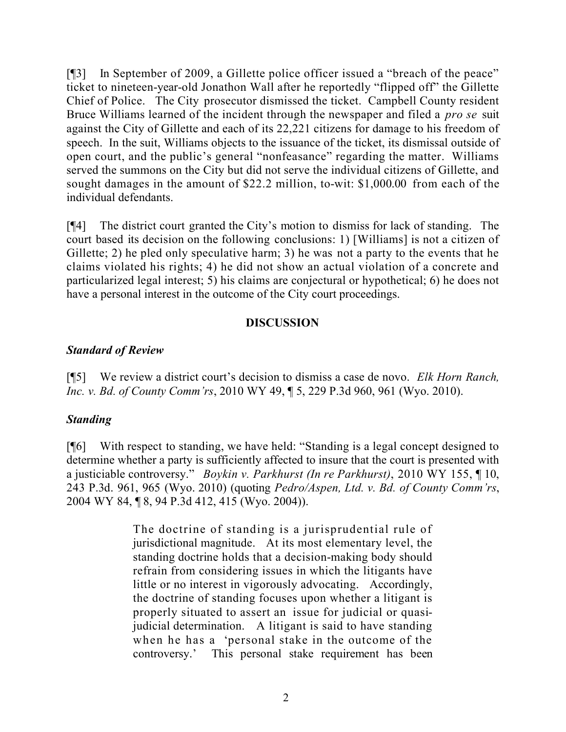[¶3] In September of 2009, a Gillette police officer issued a "breach of the peace" ticket to nineteen-year-old Jonathon Wall after he reportedly "flipped off" the Gillette Chief of Police. The City prosecutor dismissed the ticket. Campbell County resident Bruce Williams learned of the incident through the newspaper and filed a *pro se* suit against the City of Gillette and each of its 22,221 citizens for damage to his freedom of speech. In the suit, Williams objects to the issuance of the ticket, its dismissal outside of open court, and the public's general "nonfeasance" regarding the matter. Williams served the summons on the City but did not serve the individual citizens of Gillette, and sought damages in the amount of \$22.2 million, to-wit: \$1,000.00 from each of the individual defendants.

[¶4] The district court granted the City's motion to dismiss for lack of standing. The court based its decision on the following conclusions: 1) [Williams] is not a citizen of Gillette; 2) he pled only speculative harm; 3) he was not a party to the events that he claims violated his rights; 4) he did not show an actual violation of a concrete and particularized legal interest; 5) his claims are conjectural or hypothetical; 6) he does not have a personal interest in the outcome of the City court proceedings.

## **DISCUSSION**

## *Standard of Review*

[¶5] We review a district court's decision to dismiss a case de novo. *Elk Horn Ranch, Inc. v. Bd. of County Comm'rs*, 2010 WY 49, ¶ 5, 229 P.3d 960, 961 (Wyo. 2010).

# *Standing*

[¶6] With respect to standing, we have held: "Standing is a legal concept designed to determine whether a party is sufficiently affected to insure that the court is presented with a justiciable controversy." *Boykin v. Parkhurst (In re Parkhurst)*, 2010 WY 155, ¶ 10, 243 P.3d. 961, 965 (Wyo. 2010) (quoting *Pedro/Aspen, Ltd. v. Bd. of County Comm'rs*, 2004 WY 84, ¶ 8, 94 P.3d 412, 415 (Wyo. 2004)).

> The doctrine of standing is a jurisprudential rule of jurisdictional magnitude. At its most elementary level, the standing doctrine holds that a decision-making body should refrain from considering issues in which the litigants have little or no interest in vigorously advocating. Accordingly, the doctrine of standing focuses upon whether a litigant is properly situated to assert an issue for judicial or quasijudicial determination. A litigant is said to have standing when he has a 'personal stake in the outcome of the controversy.' This personal stake requirement has been